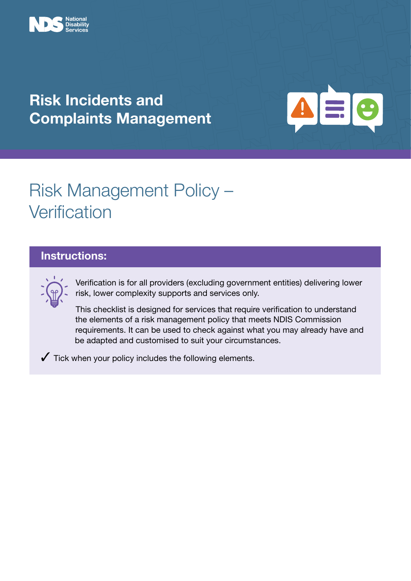

### Risk Incidents and Complaints Management



# Risk Management Policy – **Verification**

### Instructions:



Verification is for all providers (excluding government entities) delivering lower risk, lower complexity supports and services only.

This checklist is designed for services that require verification to understand the elements of a risk management policy that meets NDIS Commission requirements. It can be used to check against what you may already have and be adapted and customised to suit your circumstances.

 $\checkmark$  Tick when your policy includes the following elements.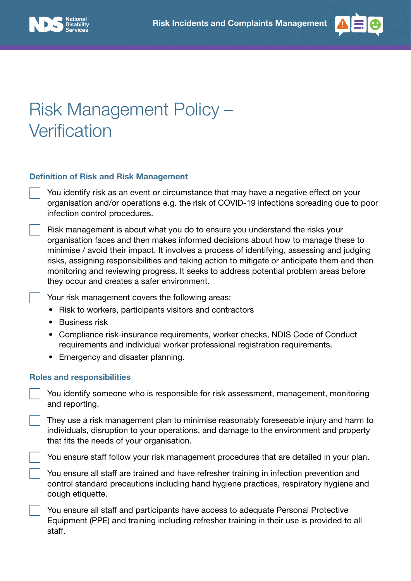



## Risk Management Policy – **Verification**

#### Definition of Risk and Risk Management

You identify risk as an event or circumstance that may have a negative effect on your organisation and/or operations e.g. the risk of COVID-19 infections spreading due to poor infection control procedures.

Risk management is about what you do to ensure you understand the risks your organisation faces and then makes informed decisions about how to manage these to minimise / avoid their impact. It involves a process of identifying, assessing and judging risks, assigning responsibilities and taking action to mitigate or anticipate them and then monitoring and reviewing progress. It seeks to address potential problem areas before they occur and creates a safer environment.

Your risk management covers the following areas:

- Risk to workers, participants visitors and contractors
- Business risk
- Compliance risk-insurance requirements, worker checks, NDIS Code of Conduct requirements and individual worker professional registration requirements.
- Emergency and disaster planning.

#### Roles and responsibilities

You identify someone who is responsible for risk assessment, management, monitoring and reporting.

They use a risk management plan to minimise reasonably foreseeable injury and harm to individuals, disruption to your operations, and damage to the environment and property that fits the needs of your organisation.

You ensure staff follow your risk management procedures that are detailed in your plan.

You ensure all staff are trained and have refresher training in infection prevention and control standard precautions including hand hygiene practices, respiratory hygiene and cough etiquette.

You ensure all staff and participants have access to adequate Personal Protective Equipment (PPE) and training including refresher training in their use is provided to all staff.